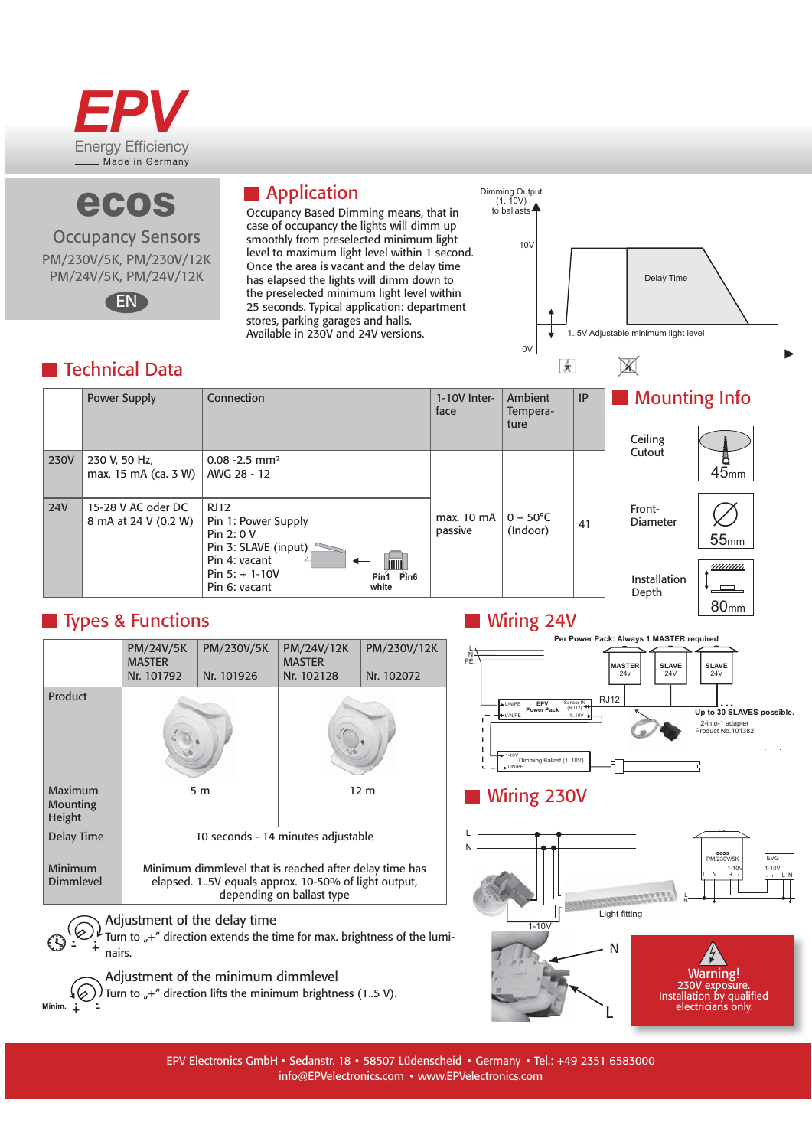

ecos

**Occupancy Sensors** 

PM/230V/5K, PM/230V/12K

PM/24V/5K, PM/24V/12K

EN

## **Application**

Occupancy Based Dimming means, that in case of occupancy the lights will dimm up smoothly from preselected minimum light level to maximum light level within 1 second. Once the area is vacant and the delay time has elapsed the lights will dimm down to the preselected minimum light level within 25 seconds. Typical application: department stores, parking garages and halls. Available in 230V and 24V versions.



## **Technical Data**

#### Mounting Info **Power Supply** Connection 1-10V Inter-IP Ambient face Temperature Ceiling Cutout **230V** 230 V, 50 Hz,  $0.08 - 2.5$  mm<sup>2</sup>  $45<sub>mm</sub>$ max. 15 mA (ca. 3 W) AWG 28 - 12 15-28 V AC oder DC **24V RJ12** Front- $0 - 50^{\circ}C$ max. 10 mA 8 mA at 24 V (0.2 W) Pin 1: Power Supply Diameter 41 passive (Indoor) Pin 2: 0 V  $55<sub>mm</sub>$ Pin 3: SLAVE (input) Pin 4: vacant <u>uuuun</u> Pin  $5: + 1-10V$  $Pin<sub>1</sub>$  $Pin6$ Installation Pin 6: vacant white Depth  $80<sub>mm</sub>$

## **Types & Functions**

|                               | PM/24V/5K<br><b>MASTER</b><br>Nr. 101792                                                                                                   | PM/230V/5K<br>Nr. 101926 | PM/24V/12K<br><b>MASTER</b><br>Nr. 102128 | PM/230V/12K<br>Nr. 102072 |
|-------------------------------|--------------------------------------------------------------------------------------------------------------------------------------------|--------------------------|-------------------------------------------|---------------------------|
| Product                       |                                                                                                                                            |                          |                                           |                           |
| Maximum<br>Mounting<br>Height | 5 m                                                                                                                                        |                          | 12 <sub>m</sub>                           |                           |
| Delay Time                    | 10 seconds - 14 minutes adjustable                                                                                                         |                          |                                           |                           |
| Minimum<br>Dimmlevel          | Minimum dimmlevel that is reached after delay time has<br>elapsed. 15V equals approx. 10-50% of light output,<br>depending on ballast type |                          |                                           |                           |
| Adjustment of the delay time  |                                                                                                                                            |                          |                                           |                           |

 $\bigoplus_{i=1}^{n} \bigoplus_{n=1}^{n} L$  Turn to  $\pi^{+n}$  direction extends the time for max. brightness of the lumi-

Adjustment of the minimum dimmlevel

Turn to  $*$ +" direction lifts the minimum brightness (1.5 V).





# **Wiring 230V**